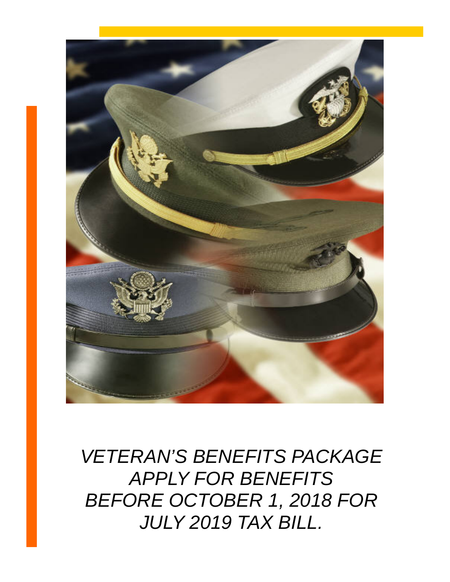

*VETERAN'S BENEFITS PACKAGE APPLY FOR BENEFITS BEFORE OCTOBER 1, 2018 FOR JULY 2019 TAX BILL.*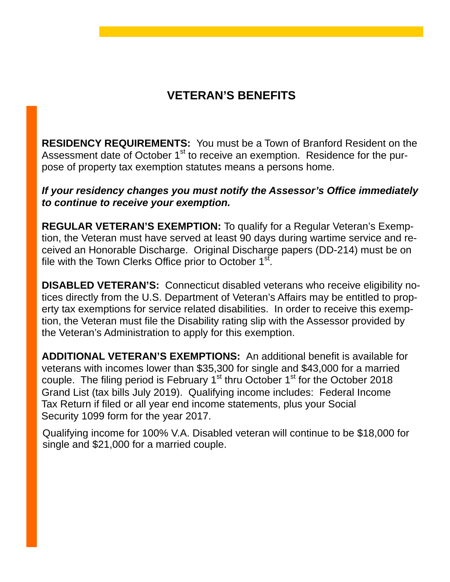# **VETERAN'S BENEFITS**

**RESIDENCY REQUIREMENTS:** You must be a Town of Branford Resident on the Assessment date of October 1<sup>st</sup> to receive an exemption. Residence for the purpose of property tax exemption statutes means a persons home.

### *If your residency changes you must notify the Assessor's Office immediately to continue to receive your exemption.*

**REGULAR VETERAN'S EXEMPTION:** To qualify for a Regular Veteran's Exemption, the Veteran must have served at least 90 days during wartime service and received an Honorable Discharge. Original Discharge papers (DD-214) must be on file with the Town Clerks Office prior to October  $1<sup>st</sup>$ .

**DISABLED VETERAN'S:** Connecticut disabled veterans who receive eligibility notices directly from the U.S. Department of Veteran's Affairs may be entitled to property tax exemptions for service related disabilities. In order to receive this exemption, the Veteran must file the Disability rating slip with the Assessor provided by the Veteran's Administration to apply for this exemption.

**ADDITIONAL VETERAN'S EXEMPTIONS:** An additional benefit is available for veterans with incomes lower than \$35,300 for single and \$43,000 for a married couple. The filing period is February  $1<sup>st</sup>$  thru October  $1<sup>st</sup>$  for the October 2018 Grand List (tax bills July 2019). Qualifying income includes: Federal Income Tax Return if filed or all year end income statements, plus your Social Security 1099 form for the year 2017.

 Qualifying income for 100% V.A. Disabled veteran will continue to be \$18,000 for single and \$21,000 for a married couple.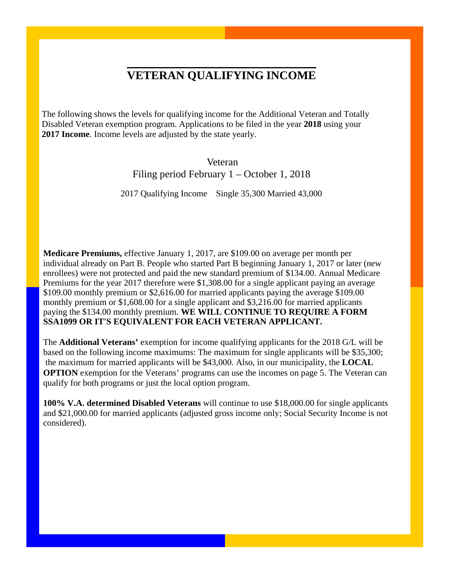## **VETERAN QUALIFYING INCOME**

The following shows the levels for qualifying income for the Additional Veteran and Totally Disabled Veteran exemption program. Applications to be filed in the year **2018** using your **2017 Income**. Income levels are adjusted by the state yearly.

> Veteran Filing period February 1 – October 1, 2018

2017 Qualifying Income Single 35,300 Married 43,000

**Medicare Premiums,** effective January 1, 2017, are \$109.00 on average per month per individual already on Part B. People who started Part B beginning January 1, 2017 or later (new enrollees) were not protected and paid the new standard premium of \$134.00. Annual Medicare Premiums for the year 2017 therefore were \$1,308.00 for a single applicant paying an average \$109.00 monthly premium or \$2,616.00 for married applicants paying the average \$109.00 monthly premium or \$1,608.00 for a single applicant and \$3,216.00 for married applicants paying the \$134.00 monthly premium. **WE WILL CONTINUE TO REQUIRE A FORM SSA1099 OR IT'S EQUIVALENT FOR EACH VETERAN APPLICANT.**

The **Additional Veterans'** exemption for income qualifying applicants for the 2018 G/L will be based on the following income maximums: The maximum for single applicants will be \$35,300; the maximum for married applicants will be \$43,000. Also, in our municipality, the **LOCAL OPTION** exemption for the Veterans' programs can use the incomes on page 5. The Veteran can qualify for both programs or just the local option program.

**100% V.A. determined Disabled Veterans** will continue to use \$18,000.00 for single applicants and \$21,000.00 for married applicants (adjusted gross income only; Social Security Income is not considered).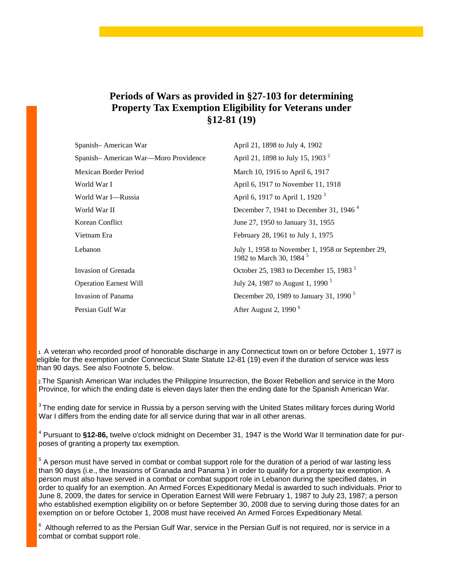### **Periods of Wars as provided in §27-103 for determining Property Tax Exemption Eligibility for Veterans under §12-81 (19)**

| Spanish-American War                 | April 21, 1898 to July 4, 1902                                                           |
|--------------------------------------|------------------------------------------------------------------------------------------|
| Spanish-American War-Moro Providence | April 21, 1898 to July 15, 1903 <sup>2</sup>                                             |
| Mexican Border Period                | March 10, 1916 to April 6, 1917                                                          |
| World War I                          | April 6, 1917 to November 11, 1918                                                       |
| World War I—Russia                   | April 6, 1917 to April 1, 1920 <sup>3</sup>                                              |
| World War II                         | December 7, 1941 to December 31, 1946 <sup>4</sup>                                       |
| Korean Conflict                      | June 27, 1950 to January 31, 1955                                                        |
| Vietnam Era                          | February 28, 1961 to July 1, 1975                                                        |
| Lebanon                              | July 1, 1958 to November 1, 1958 or September 29,<br>1982 to March 30, 1984 <sup>5</sup> |
| Invasion of Grenada                  | October 25, 1983 to December 15, 1983 <sup>5</sup>                                       |
| <b>Operation Earnest Will</b>        | July 24, 1987 to August 1, 1990 <sup>5</sup>                                             |
| Invasion of Panama                   | December 20, 1989 to January 31, 1990 <sup>5</sup>                                       |
| Persian Gulf War                     | After August 2, 1990 $6$                                                                 |

1. A veteran who recorded proof of honorable discharge in any Connecticut town on or before October 1, 1977 is eligible for the exemption under Connecticut State Statute 12-81 (19) even if the duration of service was less than 90 days. See also Footnote 5, below.

2.The Spanish American War includes the Philippine Insurrection, the Boxer Rebellion and service in the Moro Province, for which the ending date is eleven days later then the ending date for the Spanish American War.

 $^3$ The ending date for service in Russia by a person serving with the United States military forces during World War I differs from the ending date for all service during that war in all other arenas.

<sup>4</sup> Pursuant to **§12-86,** twelve o'clock midnight on December 31, 1947 is the World War II termination date for purposes of granting a property tax exemption.

 $5$  A person must have served in combat or combat support role for the duration of a period of war lasting less than 90 days (i.e., the Invasions of Granada and Panama ) in order to qualify for a property tax exemption. A person must also have served in a combat or combat support role in Lebanon during the specified dates, in order to qualify for an exemption. An Armed Forces Expeditionary Medal is awarded to such individuals. Prior to June 8, 2009, the dates for service in Operation Earnest Will were February 1, 1987 to July 23, 1987; a person who established exemption eligibility on or before September 30, 2008 due to serving during those dates for an exemption on or before October 1, 2008 must have received An Armed Forces Expeditionary Metal.

 $6<sup>6</sup>$  Although referred to as the Persian Gulf War, service in the Persian Gulf is not required, nor is service in a combat or combat support role.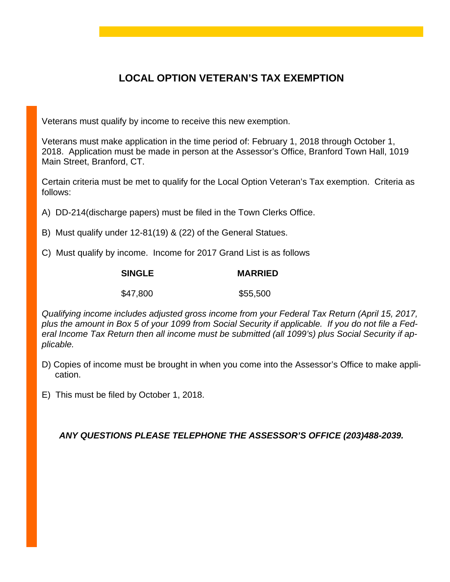## **LOCAL OPTION VETERAN'S TAX EXEMPTION**

Veterans must qualify by income to receive this new exemption.

Veterans must make application in the time period of: February 1, 2018 through October 1, 2018. Application must be made in person at the Assessor's Office, Branford Town Hall, 1019 Main Street, Branford, CT.

Certain criteria must be met to qualify for the Local Option Veteran's Tax exemption. Criteria as follows:

- A) DD-214(discharge papers) must be filed in the Town Clerks Office.
- B) Must qualify under 12-81(19) & (22) of the General Statues.
- C) Must qualify by income. Income for 2017 Grand List is as follows

| <b>SINGLE</b> | <b>MARRIED</b> |
|---------------|----------------|
| \$47,800      | \$55,500       |

*Qualifying income includes adjusted gross income from your Federal Tax Return (April 15, 2017, plus the amount in Box 5 of your 1099 from Social Security if applicable. If you do not file a Federal Income Tax Return then all income must be submitted (all 1099's) plus Social Security if applicable.*

- D) Copies of income must be brought in when you come into the Assessor's Office to make application.
- E) This must be filed by October 1, 2018.

*ANY QUESTIONS PLEASE TELEPHONE THE ASSESSOR'S OFFICE (203)488-2039.*